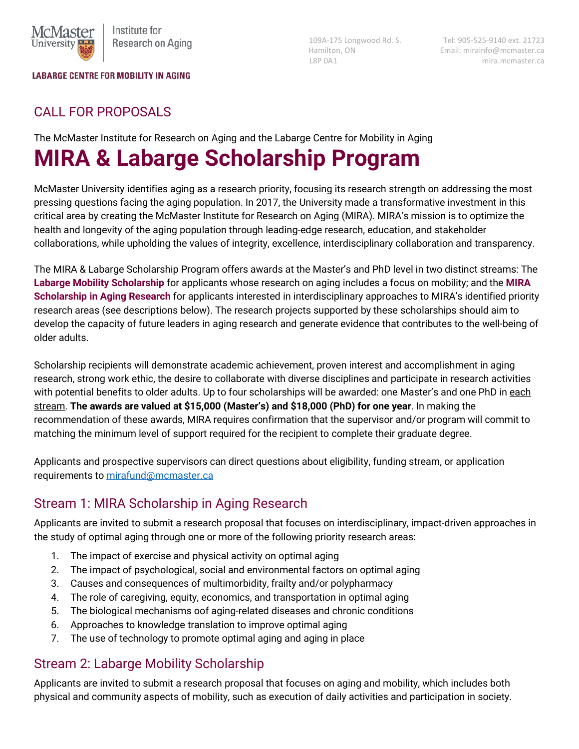

#### **LABARGE CENTRE FOR MOBILITY IN AGING**

 109A-175 Longwood Rd. S. Tel: 905-525-9140 ext. 21723 Hamilton, ON Email: mirainfo@mcmaster.ca L8P 0A1 mira.mcmaster.ca

## CALL FOR PROPOSALS

The McMaster Institute for Research on Aging and the Labarge Centre for Mobility in Aging

# **MIRA & Labarge Scholarship Program**

McMaster University identifies aging as a research priority, focusing its research strength on addressing the most pressing questions facing the aging population. In 2017, the University made a transformative investment in this critical area by creating the McMaster Institute for Research on Aging (MIRA). MIRA's mission is to optimize the health and longevity of the aging population through leading-edge research, education, and stakeholder collaborations, while upholding the values of integrity, excellence, interdisciplinary collaboration and transparency.

The MIRA & Labarge Scholarship Program offers awards at the Master's and PhD level in two distinct streams: The **Labarge Mobility Scholarship** for applicants whose research on aging includes a focus on mobility; and the **MIRA Scholarship in Aging Research** for applicants interested in interdisciplinary approaches to MIRA's identified priority research areas (see descriptions below). The research projects supported by these scholarships should aim to develop the capacity of future leaders in aging research and generate evidence that contributes to the well-being of older adults.

Scholarship recipients will demonstrate academic achievement, proven interest and accomplishment in aging research, strong work ethic, the desire to collaborate with diverse disciplines and participate in research activities with potential benefits to older adults. Up to four scholarships will be awarded: one Master's and one PhD in each stream. **The awards are valued at \$15,000 (Master's) and \$18,000 (PhD) for one year**. In making the recommendation of these awards, MIRA requires confirmation that the supervisor and/or program will commit to matching the minimum level of support required for the recipient to complete their graduate degree.

Applicants and prospective supervisors can direct questions about eligibility, funding stream, or application requirements t[o mirafund@mcmaster.ca](mailto:mirafund@mcmaster.ca)

# Stream 1: MIRA Scholarship in Aging Research

Applicants are invited to submit a research proposal that focuses on interdisciplinary, impact-driven approaches in the study of optimal aging through one or more of the following priority research areas:

- 1. The impact of exercise and physical activity on optimal aging
- 2. The impact of psychological, social and environmental factors on optimal aging
- 3. Causes and consequences of multimorbidity, frailty and/or polypharmacy
- 4. The role of caregiving, equity, economics, and transportation in optimal aging
- 5. The biological mechanisms oof aging-related diseases and chronic conditions
- 6. Approaches to knowledge translation to improve optimal aging
- 7. The use of technology to promote optimal aging and aging in place

#### Stream 2: Labarge Mobility Scholarship

Applicants are invited to submit a research proposal that focuses on aging and mobility, which includes both physical and community aspects of mobility, such as execution of daily activities and participation in society.